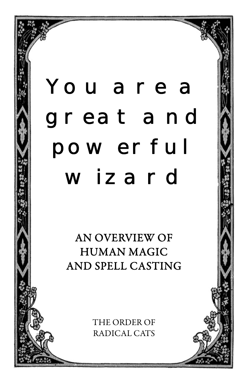# You are a great and power ful wizard

AN OVERVIEW OF HUMAN MAGIC AND SPELL CASTING

> THE ORDER OF RADICAL CATS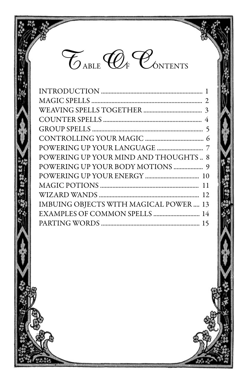

| POWERING UP YOUR MIND AND THOUGHTS 8  |  |
|---------------------------------------|--|
|                                       |  |
|                                       |  |
|                                       |  |
|                                       |  |
| IMBUING OBJECTS WITH MAGICAL POWER 13 |  |
| EXAMPLES OF COMMON SPELLS  14         |  |
|                                       |  |
|                                       |  |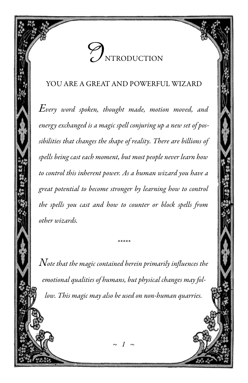

#### YOU ARE A GREAT AND POWERFUL WIZARD

 $E$ very word spoken, thought made, motion moved, and energy exchanged is a magic spell conjuring up a new set of possibilities that changes the shape of reality. There are billions of spells being cast each moment, but most people never learn how to control this inherent power. As a human wizard you have a great potential to become stronger by learning how to control the spells you cast and how to counter or block spells from other wizards.

 $\emph{Note that the magic contained herein primarily influences the}$ emotional qualities of humans, but physical changes may follow. This magic may also be used on non-human quarries.

 $\sim$  1  $\sim$ 

\*\*\*\*\*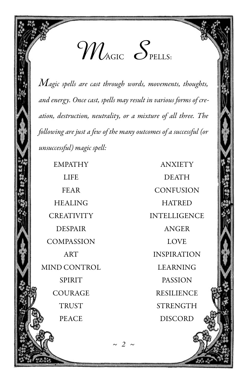$\mathcal{W}_{\textrm{\tiny{AGIC}}}$   $\mathcal{S}_{\textrm{\tiny{PELLS:}}}$ 

 $M$ agic spells are cast through words, movements, thoughts, and energy. Once cast, spells may result in various forms of creation, destruction, neutrality, or a mixture of all three. The following are just a few of the many outcomes of a successful (or unsuccessful) magic spell:

 HEALING HATRED DESPAIR ANGER COMPASSION LOVE MIND CONTROL LEARNING

 EMPATHY ANXIETY LIFE DEATH FEAR CONFUSION CREATIVITY INTELLIGENCE ART INSPIRATION SPIRIT PASSION COURAGE RESILIENCE TRUST STRENGTH PEACE DISCORD

 $\sim$  2  $\sim$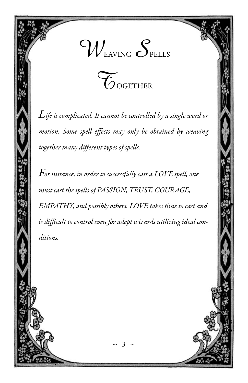



 $L$ ife is complicated. It cannot be controlled by a single word or motion. Some spell effects may only be obtained by weaving together many different types of spells.

 $\emph{For instance, in order to successfully cast a LOVE spell, one}$ must cast the spells of PASSION, TRUST, COURAGE, EMPATHY, and possibly others. LOVE takes time to cast and is difficult to control even for adept wizards utilizing ideal conditions.

 $\sim$  3  $\sim$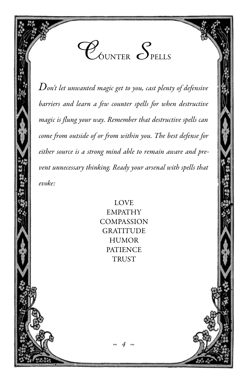$\mathscr{C}_{\scriptscriptstyle\!\mathsf{duNTER}}$   $\mathcal{S}_{\scriptscriptstyle\!\mathsf{PELLS}}$ 

 $\emph{Don't let unwanted magic get to you, cast plenty of defensive}$ barriers and learn a few counter spells for when destructive magic is flung your way. Remember that destructive spells can come from outside of or from within you. The best defense for either source is a strong mind able to remain aware and prevent unnecessary thinking. Ready your arsenal with spells that evoke:

> LOVE EMPATHY **COMPASSION GRATITUDE HUMOR PATIENCE** TRUST

> > $\sim$  4  $\sim$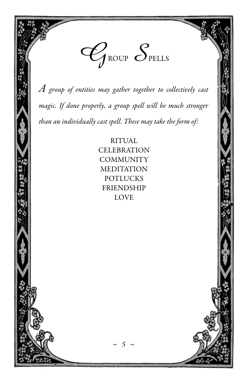

 $A$  group of entities may gather together to collectively cast magic. If done properly, a group spell will be much stronger than an individually cast spell. These may take the form of:

> RITUAL **CELEBRATION** COMMUNITY **MEDITATION** POTLUCKS FRIENDSHIP LOVE

> > $\sim$  5  $\sim$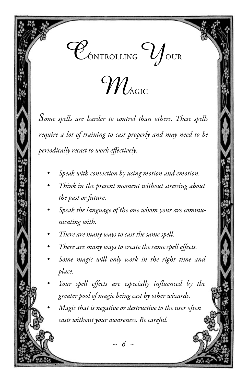



Some spells are harder to control than others. These spells require a lot of training to cast properly and may need to be periodically recast to work effectively.

- Speak with conviction by using motion and emotion.
- Think in the present moment without stressing about the past or future.
- Speak the language of the one whom your are communicating with.
- There are many ways to cast the same spell.
- There are many ways to create the same spell effects.
- Some magic will only work in the right time and place.
- Your spell effects are especially influenced by the greater pool of magic being cast by other wizards.
- Magic that is negative or destructive to the user often casts without your awareness. Be careful.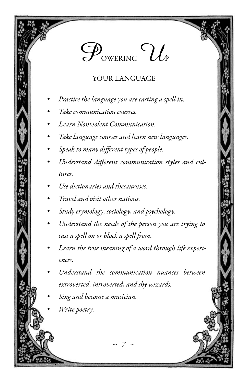### $\mathcal{P}_{\text{\tiny{OWERING}}}$   $\mathcal{U}_{\ell}$

#### YOUR LANGUAGE

- Practice the language you are casting a spell in.
- Take communication courses.
- Learn Nonviolent Communication.
- Take language courses and learn new languages.
- Speak to many different types of people.
- Understand different communication styles and cultures.
- Use dictionaries and thesauruses.
- Travel and visit other nations.
- Study etymology, sociology, and psychology.
- Understand the needs of the person you are trying to cast a spell on or block a spell from.
- Learn the true meaning of a word through life experiences.
- Understand the communication nuances between extroverted, introverted, and shy wizards.

 $\sim$  7  $\sim$ 

- Sing and become a musician.
- Write poetry.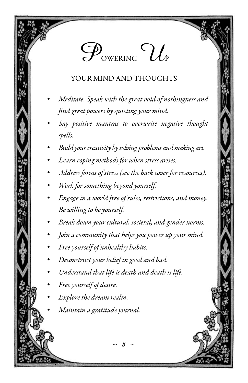### $\mathscr{P}_{\text{\tiny{OWERING}}} \mathcal{U}_{\scriptscriptstyle{P}}$

#### YOUR MIND AND THOUGHTS

- Meditate. Speak with the great void of nothingness and find great powers by quieting your mind.
- Say positive mantras to overwrite negative thought spells.
- Build your creativity by solving problems and making art.
- Learn coping methods for when stress arises.
- Address forms of stress (see the back cover for resources).
- Work for something beyond yourself.
- Engage in a world free of rules, restrictions, and money. Be willing to be yourself.
- Break down your cultural, societal, and gender norms.
- Join a community that helps you power up your mind.

~ 8 ~

- Free yourself of unhealthy habits.
- Deconstruct your belief in good and bad.
- Understand that life is death and death is life.
- Free yourself of desire.
- Explore the dream realm.
- Maintain a gratitude journal.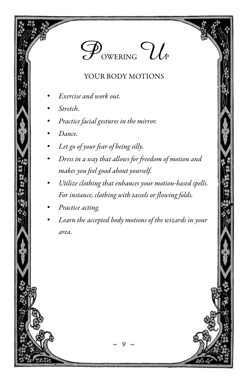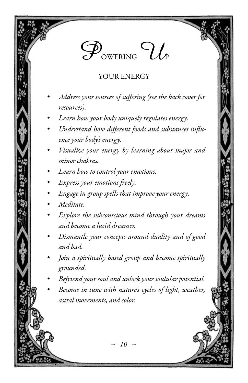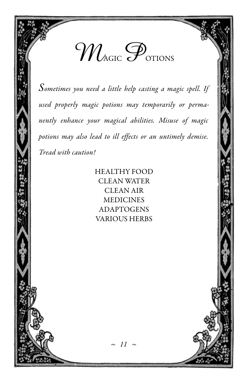

Sometimes you need a little help casting a magic spell. If used properly magic potions may temporarily or permanently enhance your magical abilities. Misuse of magic potions may also lead to ill effects or an untimely demise. Tread with caution!

> HEALTHY FOOD CLEAN WATER CLEAN AIR MEDICINES ADAPTOGENS VARIOUS HERBS

 $\sim$  11  $\sim$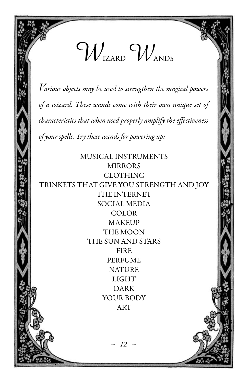

 $V$ arious objects may be used to strengthen the magical powers of a wizard. These wands come with their own unique set of characteristics that when used properly amplify the effectiveness of your spells. Try these wands for powering up:

MUSICAL INSTRUMENTS MIRRORS CLOTHING TRINKETS THAT GIVE YOU STRENGTH AND JOY THE INTERNET SOCIAL MEDIA COLOR **MAKEUP** THE MOON THE SUN AND STARS FIRE PERFUME **NATURE** LIGHT DARK YOUR BODY ART

 $\sim$  12  $\sim$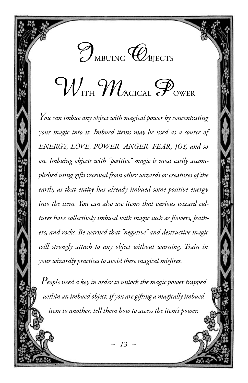

## $\gamma_{\nu}$  over  $\mathscr{P}_{\scriptscriptstyle{\text{OWER}}}$

 $\emph{You can imbue any object with magical power by concentrating}$ your magic into it. Imbued items may be used as a source of ENERGY, LOVE, POWER, ANGER, FEAR, JOY, and so on. Imbuing objects with "positive" magic is most easily accomplished using gifts received from other wizards or creatures of the earth, as that entity has already imbued some positive energy into the item. You can also use items that various wizard cultures have collectively imbued with magic such as flowers, feathers, and rocks. Be warned that "negative" and destructive magic will strongly attach to any object without warning. Train in your wizardly practices to avoid these magical misfires.

 $\emph{People}$  need a key in order to unlock the magic power trapped within an imbued object. If you are gifting a magically imbued item to another, tell them how to access the item's power.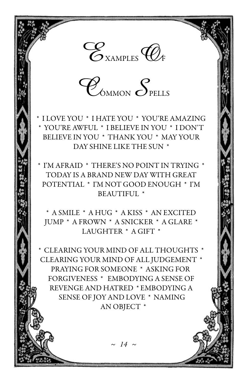

 $\mathscr{C}_{\scriptscriptstyle \! \!\! \textrm{OMMON}} \, \mathcal{S}_{\scriptscriptstyle \! \textrm{PELLS}}$ 

\* I LOVE YOU \* I HATE YOU \* YOU'RE AMAZING \* YOU'RE AWFUL \* I BELIEVE IN YOU \* I DON'T BELIEVE IN YOU \* THANK YOU \* MAY YOUR DAY SHINE LIKE THE SUN \*

\* I'M AFRAID \* THERE'S NO POINT IN TRYING \* TODAY IS A BRAND NEW DAY WITH GREAT POTENTIAL \* I'M NOT GOOD ENOUGH \* I'M BEAUTIFUL \*

\* A SMILE \* A HUG \* A KISS \* AN EXCITED JUMP \* A FROWN \* A SNICKER \* A GLARE \* LAUGHTER \* A GIFT \*

\* CLEARING YOUR MIND OF ALL THOUGHTS \* CLEARING YOUR MIND OF ALL JUDGEMENT \* PRAYING FOR SOMEONE \* ASKING FOR FORGIVENESS \* EMBODYING A SENSE OF REVENGE AND HATRED \* EMBODYING A SENSE OF JOY AND LOVE \* NAMING AN OBJECT \*

 $\sim$  14  $\sim$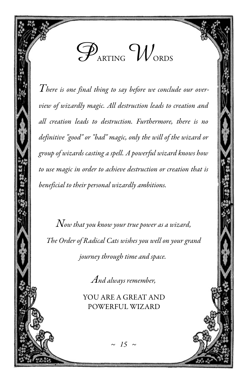

There is one final thing to say before we conclude our overview of wizardly magic. All destruction leads to creation and all creation leads to destruction. Furthermore, there is no definitive "good" or "bad" magic, only the will of the wizard or group of wizards casting a spell. A powerful wizard knows how to use magic in order to achieve destruction or creation that is beneficial to their personal wizardly ambitions.

 $N$ ow that you know your true power as a wizard, The Order of Radical Cats wishes you well on your grand journey through time and space.

And always remember,

YOU ARE A GREAT AND POWERFUL WIZARD